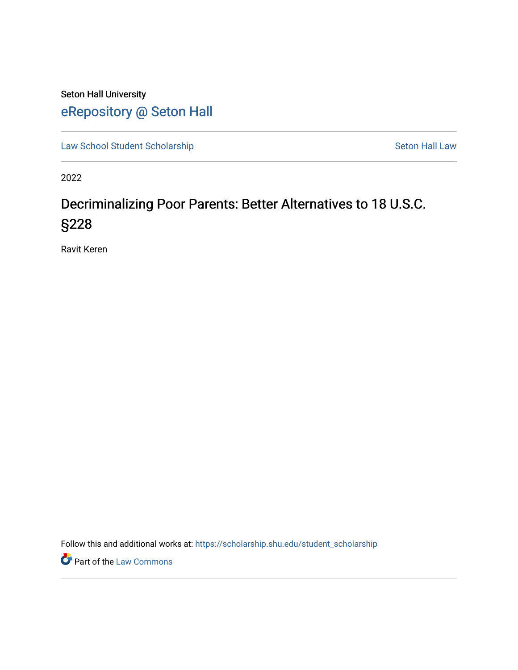# Seton Hall University [eRepository @ Seton Hall](https://scholarship.shu.edu/)

[Law School Student Scholarship](https://scholarship.shu.edu/student_scholarship) Seton Hall Law

2022

# Decriminalizing Poor Parents: Better Alternatives to 18 U.S.C. §228

Ravit Keren

Follow this and additional works at: [https://scholarship.shu.edu/student\\_scholarship](https://scholarship.shu.edu/student_scholarship?utm_source=scholarship.shu.edu%2Fstudent_scholarship%2F1282&utm_medium=PDF&utm_campaign=PDFCoverPages) 

**Part of the [Law Commons](http://network.bepress.com/hgg/discipline/578?utm_source=scholarship.shu.edu%2Fstudent_scholarship%2F1282&utm_medium=PDF&utm_campaign=PDFCoverPages)**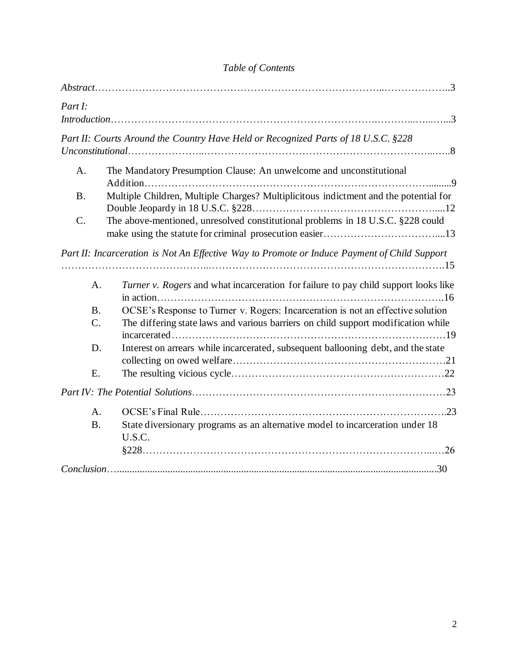| Part I:                                                                                      | $Introduction \dots 3$                                                                  |
|----------------------------------------------------------------------------------------------|-----------------------------------------------------------------------------------------|
| Part II: Courts Around the Country Have Held or Recognized Parts of 18 U.S.C. §228           |                                                                                         |
| A <sub>1</sub>                                                                               | The Mandatory Presumption Clause: An unwelcome and unconstitutional                     |
| <b>B</b> .                                                                                   | Multiple Children, Multiple Charges? Multiplicitous indictment and the potential for    |
| $C$ .                                                                                        | The above-mentioned, unresolved constitutional problems in 18 U.S.C. §228 could         |
| Part II: Incarceration is Not An Effective Way to Promote or Induce Payment of Child Support |                                                                                         |
|                                                                                              |                                                                                         |
| A.                                                                                           | Turner v. Rogers and what incarceration for failure to pay child support looks like     |
| <b>B.</b>                                                                                    | OCSE's Response to Turner v. Rogers: Incarceration is not an effective solution         |
| $\mathcal{C}$ .                                                                              | The differing state laws and various barriers on child support modification while       |
| D.                                                                                           | Interest on arrears while incarcerated, subsequent ballooning debt, and the state       |
| E.                                                                                           |                                                                                         |
|                                                                                              |                                                                                         |
| A.                                                                                           |                                                                                         |
| <b>B.</b>                                                                                    | State diversionary programs as an alternative model to incarceration under 18<br>U.S.C. |
|                                                                                              |                                                                                         |
|                                                                                              |                                                                                         |

# *Table of Contents*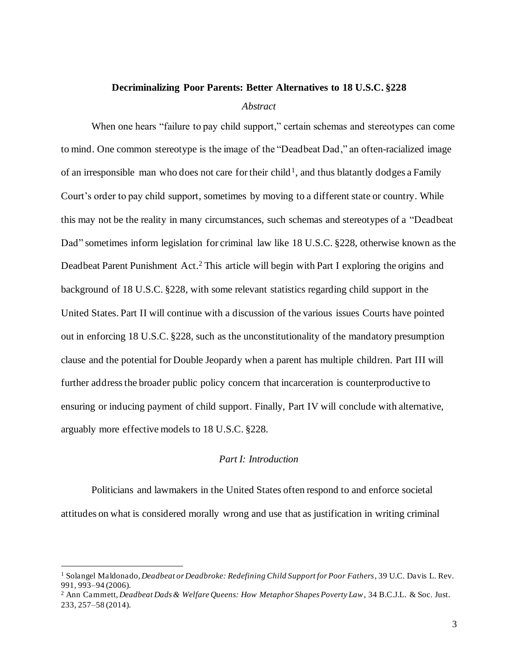#### **Decriminalizing Poor Parents: Better Alternatives to 18 U.S.C. §228**

#### *Abstract*

When one hears "failure to pay child support," certain schemas and stereotypes can come to mind. One common stereotype is the image of the "Deadbeat Dad," an often-racialized image of an irresponsible man who does not care for their child<sup>1</sup>, and thus blatantly dodges a Family Court's order to pay child support, sometimes by moving to a different state or country. While this may not be the reality in many circumstances, such schemas and stereotypes of a "Deadbeat Dad" sometimes inform legislation for criminal law like 18 U.S.C. §228, otherwise known as the Deadbeat Parent Punishment Act.<sup>2</sup> This article will begin with Part I exploring the origins and background of 18 U.S.C. §228, with some relevant statistics regarding child support in the United States. Part II will continue with a discussion of the various issues Courts have pointed out in enforcing 18 U.S.C. §228, such as the unconstitutionality of the mandatory presumption clause and the potential for Double Jeopardy when a parent has multiple children. Part III will further address the broader public policy concern that incarceration is counterproductive to ensuring or inducing payment of child support. Finally, Part IV will conclude with alternative, arguably more effective models to 18 U.S.C. §228.

#### *Part I: Introduction*

Politicians and lawmakers in the United States often respond to and enforce societal attitudes on what is considered morally wrong and use that as justification in writing criminal

<sup>1</sup> Solangel Maldonado, *Deadbeat or Deadbroke: Redefining Child Support for Poor Fathers*, 39 U.C. Davis L. Rev. 991, 993–94 (2006).

<sup>2</sup> Ann Cammett, *Deadbeat Dads & Welfare Queens: How Metaphor Shapes Poverty Law*, 34 B.C.J.L. & Soc. Just. 233, 257–58 (2014).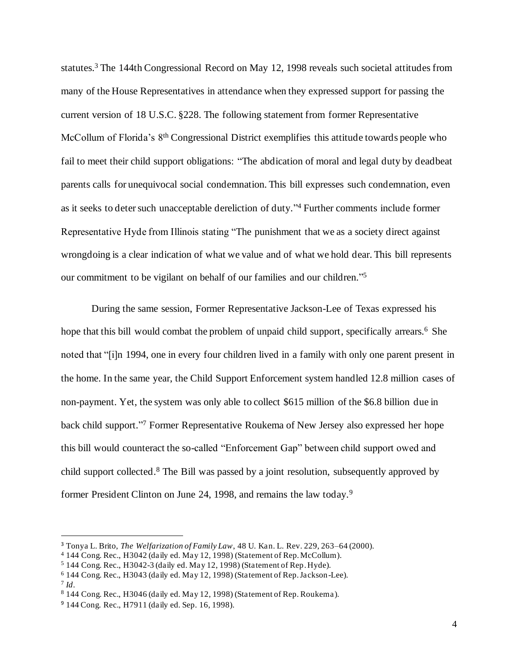statutes.<sup>3</sup> The 144th Congressional Record on May 12, 1998 reveals such societal attitudes from many of the House Representatives in attendance when they expressed support for passing the current version of 18 U.S.C. §228. The following statement from former Representative McCollum of Florida's 8<sup>th</sup> Congressional District exemplifies this attitude towards people who fail to meet their child support obligations: "The abdication of moral and legal duty by deadbeat parents calls for unequivocal social condemnation. This bill expresses such condemnation, even as it seeks to deter such unacceptable dereliction of duty."<sup>4</sup> Further comments include former Representative Hyde from Illinois stating "The punishment that we as a society direct against wrongdoing is a clear indication of what we value and of what we hold dear. This bill represents our commitment to be vigilant on behalf of our families and our children." 5

During the same session, Former Representative Jackson-Lee of Texas expressed his hope that this bill would combat the problem of unpaid child support, specifically arrears.<sup>6</sup> She noted that "[i]n 1994, one in every four children lived in a family with only one parent present in the home. In the same year, the Child Support Enforcement system handled 12.8 million cases of non-payment. Yet, the system was only able to collect \$615 million of the \$6.8 billion due in back child support." <sup>7</sup> Former Representative Roukema of New Jersey also expressed her hope this bill would counteract the so-called "Enforcement Gap" between child support owed and child support collected.<sup>8</sup> The Bill was passed by a joint resolution, subsequently approved by former President Clinton on June 24, 1998, and remains the law today.<sup>9</sup>

<sup>3</sup> Tonya L. Brito, *The Welfarization of Family Law*, 48 U. Kan. L. Rev. 229, 263–64 (2000).

<sup>4</sup> 144 Cong. Rec., H3042 (daily ed. May 12, 1998) (Statement of Rep. McCollum).

<sup>5</sup> 144 Cong. Rec., H3042-3 (daily ed. May 12, 1998) (Statement of Rep. Hyde).

<sup>6</sup> 144 Cong. Rec., H3043 (daily ed. May 12, 1998) (Statement of Rep. Jackson-Lee). 7 *Id*.

<sup>8</sup> 144 Cong. Rec., H3046 (daily ed. May 12, 1998) (Statement of Rep. Roukema).

<sup>9</sup> 144 Cong. Rec., H7911 (daily ed. Sep. 16, 1998).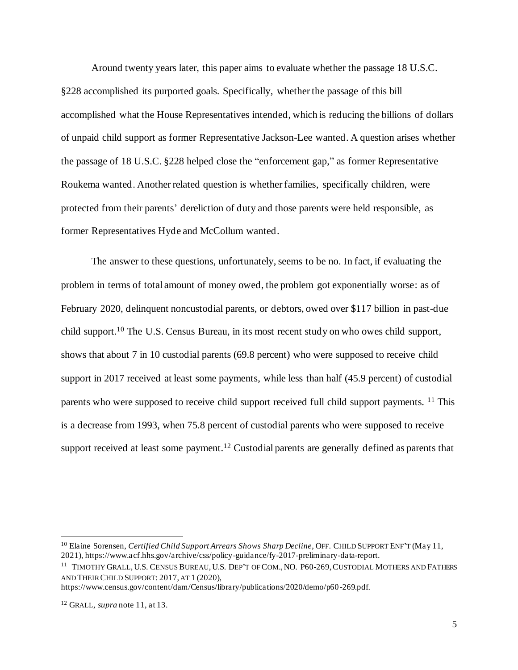Around twenty years later, this paper aims to evaluate whether the passage 18 U.S.C. §228 accomplished its purported goals. Specifically, whether the passage of this bill accomplished what the House Representatives intended, which is reducing the billions of dollars of unpaid child support as former Representative Jackson-Lee wanted. A question arises whether the passage of 18 U.S.C. §228 helped close the "enforcement gap," as former Representative Roukema wanted. Another related question is whether families, specifically children, were protected from their parents' dereliction of duty and those parents were held responsible, as former Representatives Hyde and McCollum wanted.

The answer to these questions, unfortunately, seems to be no. In fact, if evaluating the problem in terms of total amount of money owed, the problem got exponentially worse: as of February 2020, delinquent noncustodial parents, or debtors, owed over \$117 billion in past-due child support.<sup>10</sup> The U.S. Census Bureau, in its most recent study on who owes child support, shows that about 7 in 10 custodial parents (69.8 percent) who were supposed to receive child support in 2017 received at least some payments, while less than half (45.9 percent) of custodial parents who were supposed to receive child support received full child support payments. <sup>11</sup> This is a decrease from 1993, when 75.8 percent of custodial parents who were supposed to receive support received at least some payment.<sup>12</sup> Custodial parents are generally defined as parents that

https://www.census.gov/content/dam/Census/library/publications/2020/demo/p60 -269.pdf.

<sup>10</sup> Elaine Sorensen, *Certified Child Support Arrears Shows Sharp Decline*, OFF. CHILD SUPPORT ENF'T (May 11, 2021), https://www.acf.hhs.gov/archive/css/policy-guidance/fy-2017-preliminary-data-report.

<sup>&</sup>lt;sup>11</sup> TIMOTHY GRALL, U.S. CENSUS BUREAU, U.S. DEP'T OF COM., NO. P60-269, CUSTODIAL MOTHERS AND FATHERS AND THEIR CHILD SUPPORT: 2017, AT 1 (2020),

<sup>12</sup> GRALL, *supra* note 11, at 13.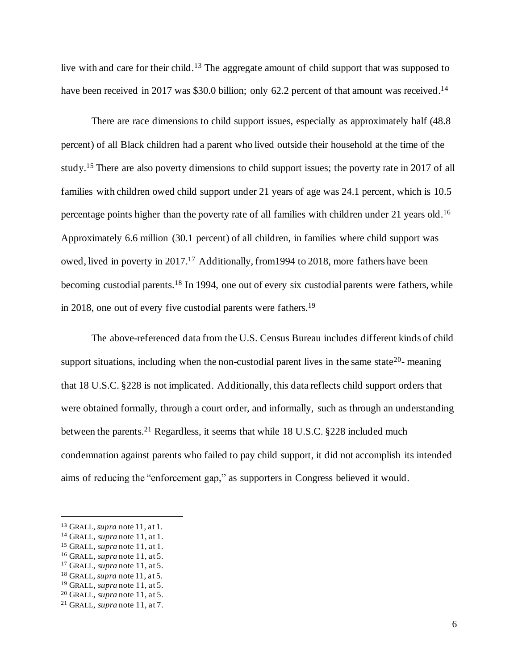live with and care for their child.<sup>13</sup> The aggregate amount of child support that was supposed to have been received in 2017 was \$30.0 billion; only 62.2 percent of that amount was received.<sup>14</sup>

There are race dimensions to child support issues, especially as approximately half (48.8 percent) of all Black children had a parent who lived outside their household at the time of the study.<sup>15</sup> There are also poverty dimensions to child support issues; the poverty rate in 2017 of all families with children owed child support under 21 years of age was 24.1 percent, which is 10.5 percentage points higher than the poverty rate of all families with children under 21 years old.<sup>16</sup> Approximately 6.6 million (30.1 percent) of all children, in families where child support was owed, lived in poverty in 2017.<sup>17</sup> Additionally, from 1994 to 2018, more fathers have been becoming custodial parents.<sup>18</sup> In 1994, one out of every six custodial parents were fathers, while in 2018, one out of every five custodial parents were fathers. 19

The above-referenced data from the U.S. Census Bureau includes different kinds of child support situations, including when the non-custodial parent lives in the same state<sup>20</sup>- meaning that 18 U.S.C. §228 is not implicated. Additionally, this data reflects child support orders that were obtained formally, through a court order, and informally, such as through an understanding between the parents.<sup>21</sup> Regardless, it seems that while 18 U.S.C. §228 included much condemnation against parents who failed to pay child support, it did not accomplish its intended aims of reducing the "enforcement gap," as supporters in Congress believed it would.

<sup>13</sup> GRALL, *supra* note 11, at 1.

<sup>14</sup> GRALL, *supra* note 11, at 1.

<sup>15</sup> GRALL, *supra* note 11, at 1.

<sup>16</sup> GRALL, *supra* note 11, at 5.

<sup>17</sup> GRALL, *supra* note 11, at 5.

<sup>18</sup> GRALL, *supra* note 11, at 5.

<sup>19</sup> GRALL, *supra* note 11, at 5.

<sup>20</sup> GRALL, *supra* note 11, at 5.

<sup>21</sup> GRALL, *supra* note 11, at 7.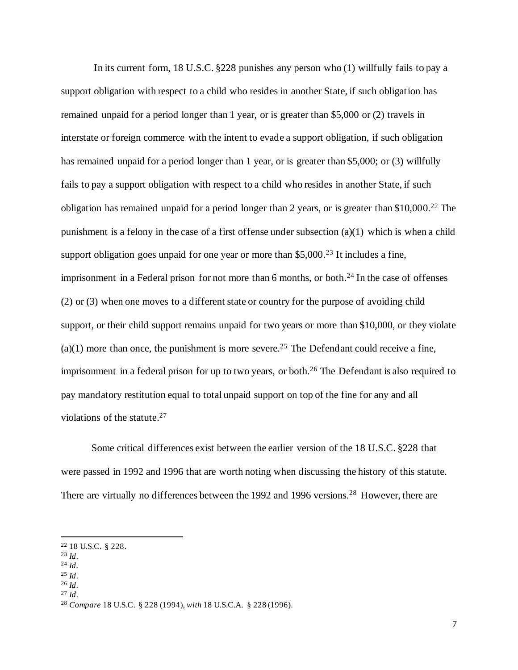In its current form, 18 U.S.C. §228 punishes any person who (1) willfully fails to pay a support obligation with respect to a child who resides in another State, if such obligation has remained unpaid for a period longer than 1 year, or is greater than \$5,000 or (2) travels in interstate or foreign commerce with the intent to evade a support obligation, if such obligation has remained unpaid for a period longer than 1 year, or is greater than \$5,000; or (3) willfully fails to pay a support obligation with respect to a child who resides in another State, if such obligation has remained unpaid for a period longer than 2 years, or is greater than \$10,000. <sup>22</sup> The punishment is a felony in the case of a first offense under subsection (a)(1) which is when a child support obligation goes unpaid for one year or more than  $$5,000.^{23}$  It includes a fine, imprisonment in a Federal prison for not more than 6 months, or both. <sup>24</sup> In the case of offenses (2) or (3) when one moves to a different state or country for the purpose of avoiding child support, or their child support remains unpaid for two years or more than \$10,000, or they violate  $(a)(1)$  more than once, the punishment is more severe.<sup>25</sup> The Defendant could receive a fine, imprisonment in a federal prison for up to two years, or both.<sup>26</sup> The Defendant is also required to pay mandatory restitution equal to total unpaid support on top of the fine for any and all violations of the statute. 27

Some critical differences exist between the earlier version of the 18 U.S.C. §228 that were passed in 1992 and 1996 that are worth noting when discussing the history of this statute. There are virtually no differences between the 1992 and 1996 versions.<sup>28</sup> However, there are

- <sup>23</sup> *Id*.
- <sup>24</sup> *Id*. <sup>25</sup> *Id*.
- <sup>26</sup> *Id*.
- <sup>27</sup> *Id*.

<sup>22</sup> 18 U.S.C. § 228.

<sup>28</sup> *Compare* 18 U.S.C. § 228 (1994), *with* 18 U.S.C.A. § 228 (1996).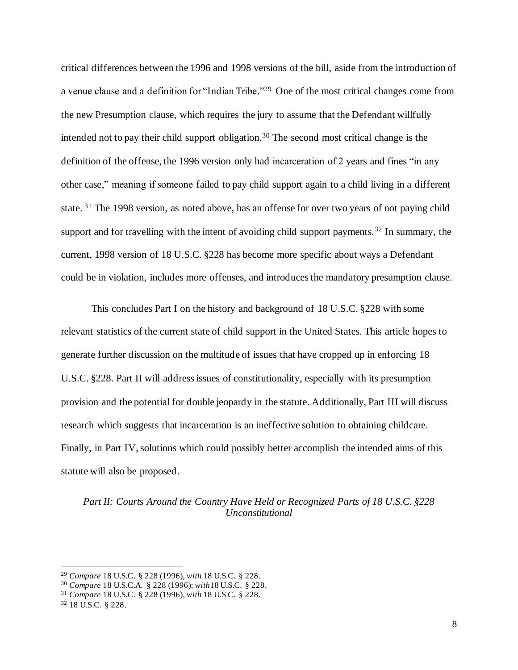critical differences between the 1996 and 1998 versions of the bill, aside from the introduction of a venue clause and a definition for "Indian Tribe." <sup>29</sup> One of the most critical changes come from the new Presumption clause, which requires the jury to assume that the Defendant willfully intended not to pay their child support obligation.<sup>30</sup> The second most critical change is the definition of the offense, the 1996 version only had incarceration of 2 years and fines "in any other case," meaning if someone failed to pay child support again to a child living in a different state. <sup>31</sup> The 1998 version, as noted above, has an offense for over two years of not paying child support and for travelling with the intent of avoiding child support payments.<sup>32</sup> In summary, the current, 1998 version of 18 U.S.C. §228 has become more specific about ways a Defendant could be in violation, includes more offenses, and introduces the mandatory presumption clause.

This concludes Part I on the history and background of 18 U.S.C. §228 with some relevant statistics of the current state of child support in the United States. This article hopes to generate further discussion on the multitude of issues that have cropped up in enforcing 18 U.S.C. §228. Part II will addressissues of constitutionality, especially with its presumption provision and the potential for double jeopardy in the statute. Additionally, Part III will discuss research which suggests that incarceration is an ineffective solution to obtaining childcare. Finally, in Part IV, solutions which could possibly better accomplish the intended aims of this statute will also be proposed.

*Part II: Courts Around the Country Have Held or Recognized Parts of 18 U.S.C. §228 Unconstitutional*

<sup>29</sup> *Compare* 18 U.S.C. § 228 (1996), *with* 18 U.S.C. § 228.

<sup>30</sup> *Compare* 18 U.S.C.A. § 228 (1996); *with*18 U.S.C. § 228.

<sup>31</sup> *Compare* 18 U.S.C. § 228 (1996), *with* 18 U.S.C. § 228.

<sup>32</sup> 18 U.S.C. § 228.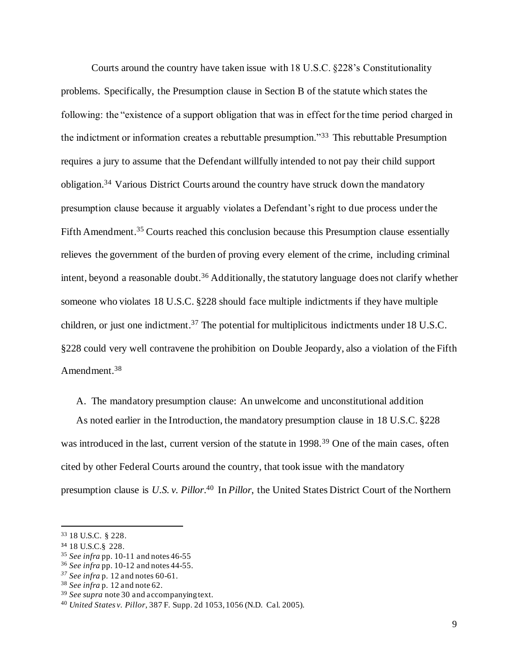Courts around the country have taken issue with 18 U.S.C. §228's Constitutionality problems. Specifically, the Presumption clause in Section B of the statute which states the following: the "existence of a support obligation that was in effect for the time period charged in the indictment or information creates a rebuttable presumption."<sup>33</sup> This rebuttable Presumption requires a jury to assume that the Defendant willfully intended to not pay their child support obligation.<sup>34</sup> Various District Courts around the country have struck down the mandatory presumption clause because it arguably violates a Defendant's right to due process under the Fifth Amendment.<sup>35</sup> Courts reached this conclusion because this Presumption clause essentially relieves the government of the burden of proving every element of the crime, including criminal intent, beyond a reasonable doubt.<sup>36</sup> Additionally, the statutory language does not clarify whether someone who violates 18 U.S.C. §228 should face multiple indictments if they have multiple children, or just one indictment.<sup>37</sup> The potential for multiplicitous indictments under 18 U.S.C. §228 could very well contravene the prohibition on Double Jeopardy, also a violation of the Fifth Amendment.<sup>38</sup>

A. The mandatory presumption clause: An unwelcome and unconstitutional addition

As noted earlier in the Introduction, the mandatory presumption clause in 18 U.S.C. §228 was introduced in the last, current version of the statute in 1998.<sup>39</sup> One of the main cases, often cited by other Federal Courts around the country, that took issue with the mandatory presumption clause is *U.S. v. Pillor*. <sup>40</sup> In *Pillor*, the United States District Court of the Northern

<sup>33</sup> 18 U.S.C. § 228.

<sup>34</sup> 18 U.S.C.§ 228.

<sup>35</sup> *See infra* pp. 10-11 and notes 46-55

<sup>36</sup> *See infra* pp. 10-12 and notes 44-55.

*<sup>37</sup> See infra* p. 12 and notes 60-61.

<sup>38</sup> *See infra* p. 12 and note 62.

<sup>39</sup> *See supra* note 30 and accompanying text.

<sup>40</sup> *United States v. Pillor*, 387 F. Supp. 2d 1053, 1056 (N.D. Cal. 2005).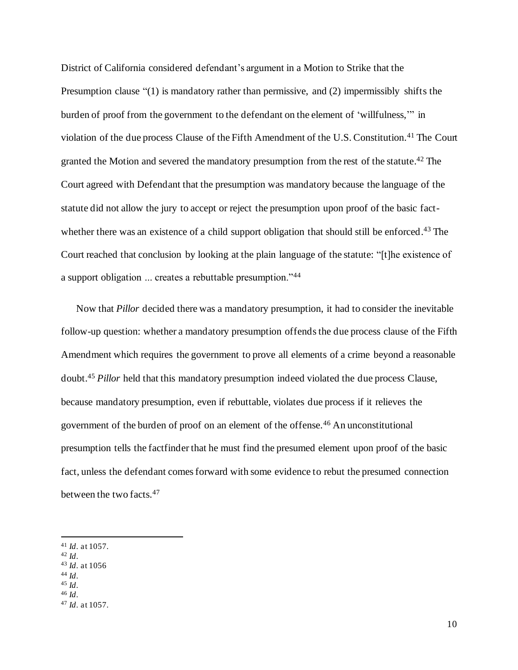District of California considered defendant's argument in a Motion to Strike that the Presumption clause "(1) is mandatory rather than permissive, and (2) impermissibly shifts the burden of proof from the government to the defendant on the element of 'willfulness,'" in violation of the due process Clause of the Fifth Amendment of the U.S. Constitution.<sup>41</sup> The Court granted the Motion and severed the mandatory presumption from the rest of the statute.<sup>42</sup> The Court agreed with Defendant that the presumption was mandatory because the language of the statute did not allow the jury to accept or reject the presumption upon proof of the basic factwhether there was an existence of a child support obligation that should still be enforced.<sup>43</sup> The Court reached that conclusion by looking at the plain language of the statute: "[t]he existence of a support obligation ... creates a rebuttable presumption."<sup>44</sup>

Now that *Pillor* decided there was a mandatory presumption, it had to consider the inevitable follow-up question: whether a mandatory presumption offends the due process clause of the Fifth Amendment which requires the government to prove all elements of a crime beyond a reasonable doubt.<sup>45</sup> *Pillor* held that this mandatory presumption indeed violated the due process Clause, because mandatory presumption, even if rebuttable, violates due process if it relieves the government of the burden of proof on an element of the offense.<sup>46</sup> An unconstitutional presumption tells the factfinder that he must find the presumed element upon proof of the basic fact, unless the defendant comes forward with some evidence to rebut the presumed connection between the two facts.<sup>47</sup>

- <sup>44</sup> *Id*. <sup>45</sup> *Id*.
- <sup>46</sup> *Id*.

<sup>41</sup> *Id*. at 1057.

<sup>42</sup> *Id*.

<sup>43</sup> *Id*. at 1056

<sup>47</sup> *Id*. at 1057.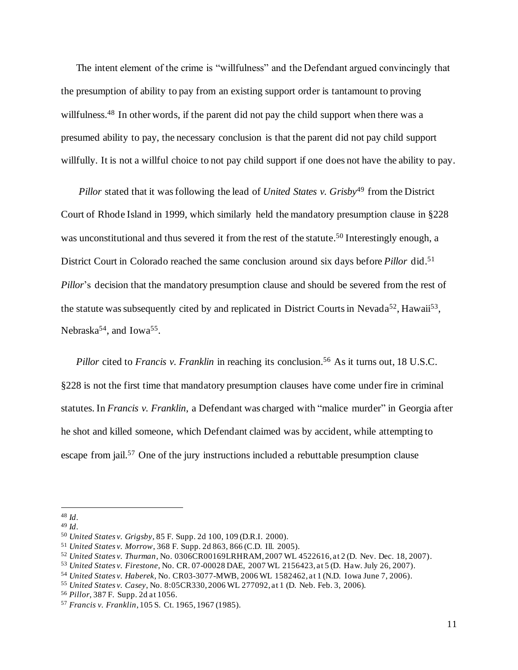The intent element of the crime is "willfulness" and the Defendant argued convincingly that the presumption of ability to pay from an existing support order is tantamount to proving willfulness.<sup>48</sup> In other words, if the parent did not pay the child support when there was a presumed ability to pay, the necessary conclusion is that the parent did not pay child support willfully. It is not a willful choice to not pay child support if one does not have the ability to pay.

*Pillor* stated that it was following the lead of *United States v. Grisby*<sup>49</sup> from the District Court of Rhode Island in 1999, which similarly held the mandatory presumption clause in §228 was unconstitutional and thus severed it from the rest of the statute.<sup>50</sup> Interestingly enough, a District Court in Colorado reached the same conclusion around six days before *Pillor* did.<sup>51</sup> *Pillor*'s decision that the mandatory presumption clause and should be severed from the rest of the statute was subsequently cited by and replicated in District Courts in Nevada<sup>52</sup>, Hawaii<sup>53</sup>, Nebraska<sup>54</sup>, and Iowa<sup>55</sup>.

*Pillor* cited to *Francis v. Franklin* in reaching its conclusion. <sup>56</sup> As it turns out, 18 U.S.C. §228 is not the first time that mandatory presumption clauses have come under fire in criminal statutes. In *Francis v. Franklin*, a Defendant was charged with "malice murder" in Georgia after he shot and killed someone, which Defendant claimed was by accident, while attempting to escape from jail.<sup>57</sup> One of the jury instructions included a rebuttable presumption clause

<sup>48</sup> *Id*.

<sup>49</sup> *Id*.

<sup>50</sup> *United States v. Grigsby*, 85 F. Supp. 2d 100, 109 (D.R.I. 2000).

<sup>51</sup> *United States v. Morrow*, 368 F. Supp. 2d 863, 866 (C.D. Ill. 2005).

<sup>52</sup> *United States v. Thurman*, No. 0306CR00169LRHRAM, 2007 WL 4522616, at 2 (D. Nev. Dec. 18, 2007).

<sup>53</sup> *United States v. Firestone*, No. CR. 07-00028 DAE, 2007 WL 2156423, at 5 (D. Haw. July 26, 2007).

<sup>54</sup> *United States v. Haberek*, No. CR03-3077-MWB, 2006 WL 1582462, at 1 (N.D. Iowa June 7, 2006).

<sup>55</sup> *United States v. Casey*, No. 8:05CR330, 2006 WL 277092, at 1 (D. Neb. Feb. 3, 2006).

<sup>56</sup> *Pillor*, 387 F. Supp. 2d at 1056.

<sup>57</sup> *Francis v. Franklin*, 105 S. Ct. 1965, 1967 (1985).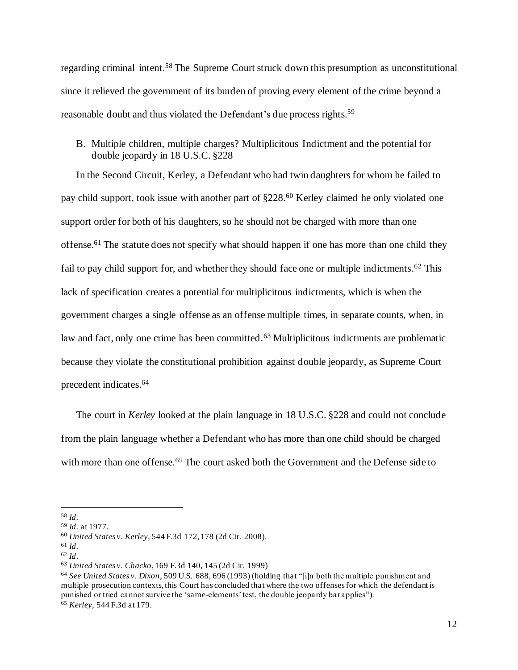regarding criminal intent.<sup>58</sup> The Supreme Court struck down this presumption as unconstitutional since it relieved the government of its burden of proving every element of the crime beyond a reasonable doubt and thus violated the Defendant's due process rights.<sup>59</sup>

### B. Multiple children, multiple charges? Multiplicitous Indictment and the potential for double jeopardy in 18 U.S.C. §228

In the Second Circuit, Kerley, a Defendant who had twin daughters for whom he failed to pay child support, took issue with another part of §228.<sup>60</sup> Kerley claimed he only violated one support order for both of his daughters, so he should not be charged with more than one offense.<sup>61</sup> The statute does not specify what should happen if one has more than one child they fail to pay child support for, and whether they should face one or multiple indictments.<sup>62</sup> This lack of specification creates a potential for multiplicitous indictments, which is when the government charges a single offense as an offense multiple times, in separate counts, when, in law and fact, only one crime has been committed.<sup>63</sup> Multiplicitous indictments are problematic because they violate the constitutional prohibition against double jeopardy, as Supreme Court precedent indicates. 64

The court in *Kerley* looked at the plain language in 18 U.S.C. §228 and could not conclude from the plain language whether a Defendant who has more than one child should be charged with more than one offense.<sup>65</sup> The court asked both the Government and the Defense side to

<sup>58</sup> *Id*.

<sup>59</sup> *Id*. at 1977.

<sup>60</sup> *United States v. Kerley*, 544 F.3d 172, 178 (2d Cir. 2008).

<sup>61</sup> *Id*.

<sup>62</sup> *Id*.

<sup>63</sup> *United States v. Chacko*, 169 F.3d 140, 145 (2d Cir. 1999)

<sup>64</sup> *See United States v. Dixon*, 509 U.S. 688, 696 (1993) (holding that "[i]n both the multiple punishment and multiple prosecution contexts, this Court has concluded that where the two offenses for which the defendant is punished or tried cannot survive the 'same-elements' test, the double jeopardy bar applies"). <sup>65</sup> *Kerley*, 544 F.3d at 179.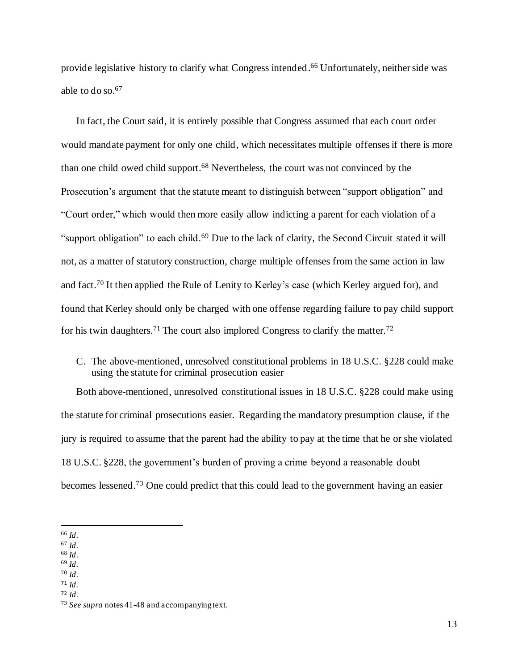provide legislative history to clarify what Congress intended. <sup>66</sup> Unfortunately, neither side was able to do so. 67

In fact, the Court said, it is entirely possible that Congress assumed that each court order would mandate payment for only one child, which necessitates multiple offenses if there is more than one child owed child support. <sup>68</sup> Nevertheless, the court was not convinced by the Prosecution's argument that the statute meant to distinguish between "support obligation" and "Court order," which would then more easily allow indicting a parent for each violation of a "support obligation" to each child.<sup>69</sup> Due to the lack of clarity, the Second Circuit stated it will not, as a matter of statutory construction, charge multiple offenses from the same action in law and fact.<sup>70</sup> It then applied the Rule of Lenity to Kerley's case (which Kerley argued for), and found that Kerley should only be charged with one offense regarding failure to pay child support for his twin daughters.<sup>71</sup> The court also implored Congress to clarify the matter.<sup>72</sup>

C. The above-mentioned, unresolved constitutional problems in 18 U.S.C. §228 could make using the statute for criminal prosecution easier

Both above-mentioned, unresolved constitutional issues in 18 U.S.C. §228 could make using the statute for criminal prosecutions easier. Regarding the mandatory presumption clause, if the jury is required to assume that the parent had the ability to pay at the time that he or she violated 18 U.S.C. §228, the government's burden of proving a crime beyond a reasonable doubt becomes lessened.<sup>73</sup> One could predict that this could lead to the government having an easier

- <sup>68</sup> *Id*.
- <sup>69</sup> *Id*. <sup>70</sup> *Id*.
- <sup>71</sup> *Id*.
- <sup>72</sup> *Id*.

<sup>66</sup> *Id*.

<sup>67</sup> *Id*.

<sup>73</sup> *See supra* notes 41-48 and accompanying text.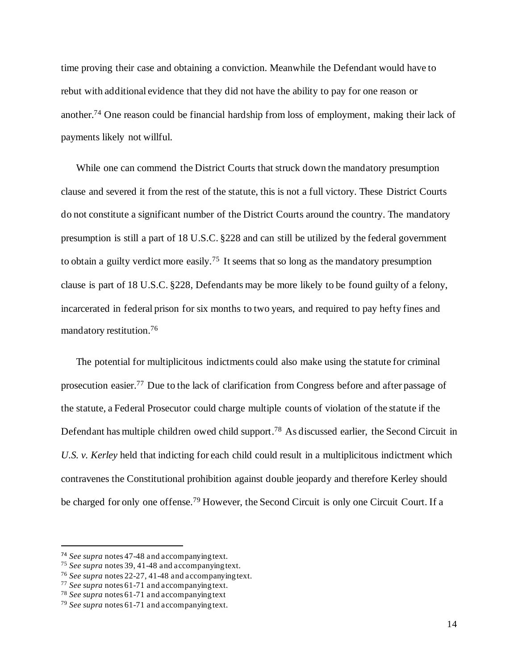time proving their case and obtaining a conviction. Meanwhile the Defendant would have to rebut with additional evidence that they did not have the ability to pay for one reason or another.<sup>74</sup> One reason could be financial hardship from loss of employment, making their lack of payments likely not willful.

While one can commend the District Courts that struck down the mandatory presumption clause and severed it from the rest of the statute, this is not a full victory. These District Courts do not constitute a significant number of the District Courts around the country. The mandatory presumption is still a part of 18 U.S.C. §228 and can still be utilized by the federal government to obtain a guilty verdict more easily.<sup>75</sup> It seems that so long as the mandatory presumption clause is part of 18 U.S.C. §228, Defendants may be more likely to be found guilty of a felony, incarcerated in federal prison for six months to two years, and required to pay hefty fines and mandatory restitution. 76

The potential for multiplicitous indictments could also make using the statute for criminal prosecution easier.<sup>77</sup> Due to the lack of clarification from Congress before and after passage of the statute, a Federal Prosecutor could charge multiple counts of violation of the statute if the Defendant has multiple children owed child support.<sup>78</sup> As discussed earlier, the Second Circuit in *U.S. v. Kerley* held that indicting for each child could result in a multiplicitous indictment which contravenes the Constitutional prohibition against double jeopardy and therefore Kerley should be charged for only one offense.<sup>79</sup> However, the Second Circuit is only one Circuit Court. If a

<sup>74</sup> *See supra* notes 47-48 and accompanying text.

<sup>75</sup> *See supra* notes 39, 41-48 and accompanying text.

<sup>76</sup> *See supra* notes 22-27, 41-48 and accompanying text.

<sup>77</sup> *See supra* notes 61-71 and accompanying text.

<sup>78</sup> *See supra* notes 61-71 and accompanying text

<sup>79</sup> *See supra* notes 61-71 and accompanying text.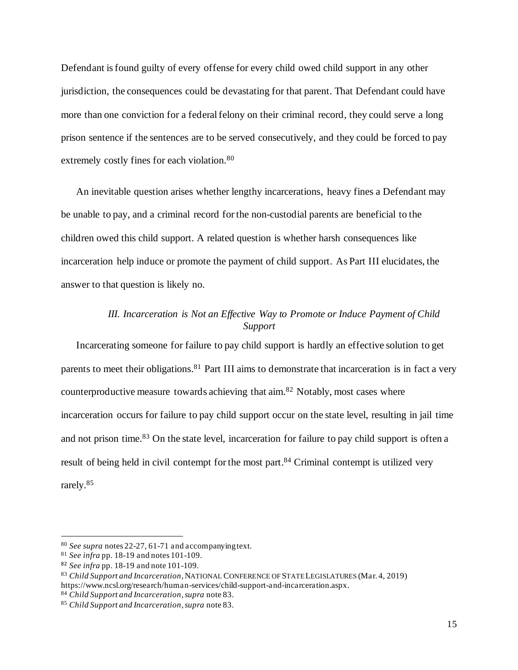Defendant is found guilty of every offense for every child owed child support in any other jurisdiction, the consequences could be devastating for that parent. That Defendant could have more than one conviction for a federal felony on their criminal record, they could serve a long prison sentence if the sentences are to be served consecutively, and they could be forced to pay extremely costly fines for each violation.<sup>80</sup>

An inevitable question arises whether lengthy incarcerations, heavy fines a Defendant may be unable to pay, and a criminal record for the non-custodial parents are beneficial to the children owed this child support. A related question is whether harsh consequences like incarceration help induce or promote the payment of child support. As Part III elucidates, the answer to that question is likely no.

## *III. Incarceration is Not an Effective Way to Promote or Induce Payment of Child Support*

Incarcerating someone for failure to pay child support is hardly an effective solution to get parents to meet their obligations.<sup>81</sup> Part III aims to demonstrate that incarceration is in fact a very counterproductive measure towards achieving that aim. <sup>82</sup> Notably, most cases where incarceration occurs for failure to pay child support occur on the state level, resulting in jail time and not prison time.<sup>83</sup> On the state level, incarceration for failure to pay child support is often a result of being held in civil contempt for the most part.<sup>84</sup> Criminal contempt is utilized very rarely. 85

<sup>80</sup> *See supra* notes 22-27, 61-71 and accompanying text.

<sup>81</sup> *See infra* pp. 18-19 and notes 101-109.

<sup>82</sup> *See infra* pp. 18-19 and note 101-109.

<sup>83</sup> *Child Support and Incarceration*, NATIONAL CONFERENCE OF STATE LEGISLATURES (Mar. 4, 2019) https://www.ncsl.org/research/human-services/child-support-and-incarceration.aspx.

<sup>84</sup> *Child Support and Incarceration*,*supra* note 83.

<sup>85</sup> *Child Support and Incarceration*,*supra* note 83.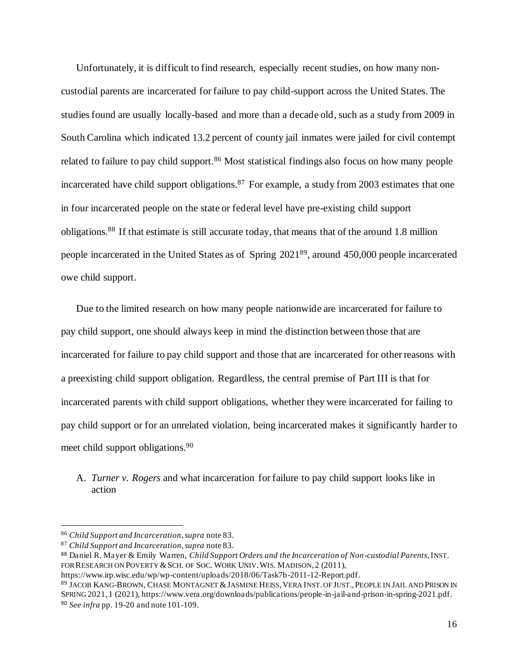Unfortunately, it is difficult to find research, especially recent studies, on how many noncustodial parents are incarcerated for failure to pay child-support across the United States. The studies found are usually locally-based and more than a decade old, such as a study from 2009 in South Carolina which indicated 13.2 percent of county jail inmates were jailed for civil contempt related to failure to pay child support.<sup>86</sup> Most statistical findings also focus on how many people incarcerated have child support obligations.<sup>87</sup> For example, a study from 2003 estimates that one in four incarcerated people on the state or federal level have pre-existing child support obligations.<sup>88</sup> If that estimate is still accurate today, that means that of the around 1.8 million people incarcerated in the United States as of Spring 2021<sup>89</sup>, around 450,000 people incarcerated owe child support.

Due to the limited research on how many people nationwide are incarcerated for failure to pay child support, one should always keep in mind the distinction between those that are incarcerated for failure to pay child support and those that are incarcerated for other reasons with a preexisting child support obligation. Regardless, the central premise of Part III is that for incarcerated parents with child support obligations, whether they were incarcerated for failing to pay child support or for an unrelated violation, being incarcerated makes it significantly harder to meet child support obligations.<sup>90</sup>

A. *Turner v. Rogers* and what incarceration for failure to pay child support looks like in action

<sup>86</sup> *Child Support and Incarceration*,*supra* note 83.

<sup>87</sup> *Child Support and Incarceration*,*supra* note 83.

<sup>88</sup> Daniel R. Mayer & Emily Warren, *Child Support Orders and the Incarceration of Non-custodial Parents*, INST. FOR RESEARCH ON POVERTY & SCH. OF SOC. WORK UNIV. WIS. MADISON, 2 (2011),

https://www.irp.wisc.edu/wp/wp-content/uploads/2018/06/Task7b-2011-12-Report.pdf.

<sup>89</sup> JACOB KANG-BROWN, CHASE MONTAGNET & JASMINE HEISS, VERA INST. OF JUST., PEOPLE IN JAIL AND PRISON IN SPRING 2021, 1 (2021), https://www.vera.org/downloads/publications/people-in-jail-and-prison-in-spring-2021.pdf. <sup>90</sup> *See infra* pp. 19-20 and note 101-109.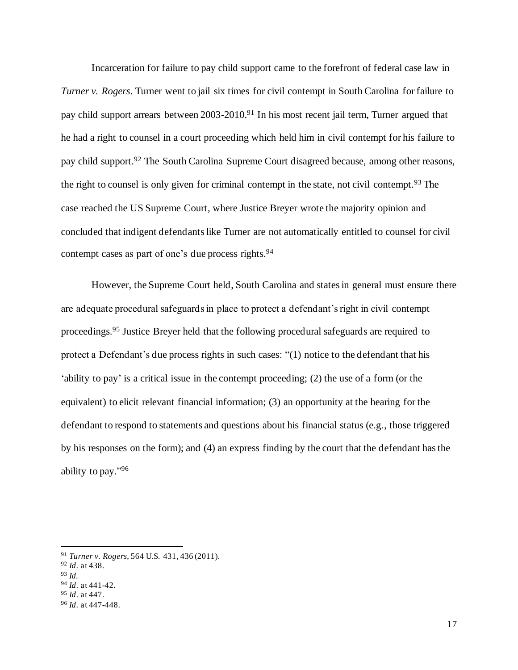Incarceration for failure to pay child support came to the forefront of federal case law in *Turner v. Rogers*. Turner went to jail six times for civil contempt in South Carolina for failure to pay child support arrears between 2003-2010.<sup>91</sup> In his most recent jail term, Turner argued that he had a right to counsel in a court proceeding which held him in civil contempt for his failure to pay child support.<sup>92</sup> The South Carolina Supreme Court disagreed because, among other reasons, the right to counsel is only given for criminal contempt in the state, not civil contempt.<sup>93</sup> The case reached the US Supreme Court, where Justice Breyer wrote the majority opinion and concluded that indigent defendants like Turner are not automatically entitled to counsel for civil contempt cases as part of one's due process rights.<sup>94</sup>

However, the Supreme Court held, South Carolina and states in general must ensure there are adequate procedural safeguards in place to protect a defendant's right in civil contempt proceedings.<sup>95</sup> Justice Breyer held that the following procedural safeguards are required to protect a Defendant's due process rights in such cases: "(1) notice to the defendant that his 'ability to pay' is a critical issue in the contempt proceeding; (2) the use of a form (or the equivalent) to elicit relevant financial information; (3) an opportunity at the hearing for the defendant to respond to statements and questions about his financial status (e.g., those triggered by his responses on the form); and (4) an express finding by the court that the defendant has the ability to pay."<sup>96</sup>

<sup>91</sup> *Turner v. Rogers*, 564 U.S. 431, 436 (2011).

<sup>92</sup> *Id*. at 438.

<sup>93</sup> *Id.*

<sup>94</sup> *Id*. at 441-42.

<sup>95</sup> *Id*. at 447.

<sup>96</sup> *Id*. at 447-448.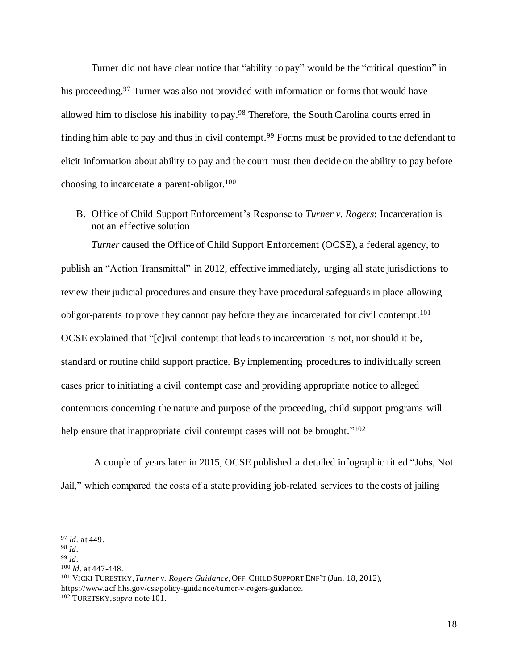Turner did not have clear notice that "ability to pay" would be the "critical question" in his proceeding.<sup>97</sup> Turner was also not provided with information or forms that would have allowed him to disclose his inability to pay.<sup>98</sup> Therefore, the South Carolina courts erred in finding him able to pay and thus in civil contempt.<sup>99</sup> Forms must be provided to the defendant to elicit information about ability to pay and the court must then decide on the ability to pay before choosing to incarcerate a parent-obligor.<sup>100</sup>

B. Office of Child Support Enforcement's Response to *Turner v. Rogers*: Incarceration is not an effective solution

*Turner* caused the Office of Child Support Enforcement (OCSE), a federal agency, to publish an "Action Transmittal" in 2012, effective immediately, urging all state jurisdictions to review their judicial procedures and ensure they have procedural safeguards in place allowing obligor-parents to prove they cannot pay before they are incarcerated for civil contempt.<sup>101</sup> OCSE explained that "[c]ivil contempt that leads to incarceration is not, nor should it be, standard or routine child support practice. By implementing procedures to individually screen cases prior to initiating a civil contempt case and providing appropriate notice to alleged contemnors concerning the nature and purpose of the proceeding, child support programs will help ensure that inappropriate civil contempt cases will not be brought."<sup>102</sup>

A couple of years later in 2015, OCSE published a detailed infographic titled "Jobs, Not Jail," which compared the costs of a state providing job-related services to the costs of jailing

<sup>100</sup> *Id*. at 447-448.

<sup>101</sup> VICKI TURESTKY, *Turner v. Rogers Guidance*,OFF. CHILD SUPPORT ENF'T (Jun. 18, 2012), https://www.acf.hhs.gov/css/policy-guidance/turner-v-rogers-guidance.

<sup>97</sup> *Id*. at 449.

<sup>98</sup> *Id*.

<sup>99</sup> *Id*.

<sup>102</sup> TURETSKY, *supra* note 101.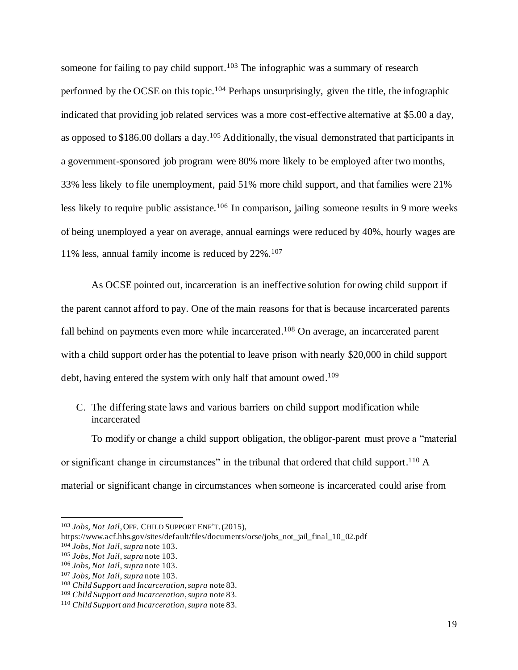someone for failing to pay child support.<sup>103</sup> The infographic was a summary of research performed by the OCSE on this topic.<sup>104</sup> Perhaps unsurprisingly, given the title, the infographic indicated that providing job related services was a more cost-effective alternative at \$5.00 a day, as opposed to \$186.00 dollars a day.<sup>105</sup> Additionally, the visual demonstrated that participants in a government-sponsored job program were 80% more likely to be employed after two months, 33% less likely to file unemployment, paid 51% more child support, and that families were 21% less likely to require public assistance.<sup>106</sup> In comparison, jailing someone results in 9 more weeks of being unemployed a year on average, annual earnings were reduced by 40%, hourly wages are 11% less, annual family income is reduced by 22%.<sup>107</sup>

As OCSE pointed out, incarceration is an ineffective solution for owing child support if the parent cannot afford to pay. One of the main reasons for that is because incarcerated parents fall behind on payments even more while incarcerated.<sup>108</sup> On average, an incarcerated parent with a child support order has the potential to leave prison with nearly \$20,000 in child support debt, having entered the system with only half that amount owed.<sup>109</sup>

C. The differing state laws and various barriers on child support modification while incarcerated

To modify or change a child support obligation, the obligor-parent must prove a "material or significant change in circumstances" in the tribunal that ordered that child support.<sup>110</sup> A material or significant change in circumstances when someone is incarcerated could arise from

<sup>103</sup> *Jobs, Not Jail*,OFF. CHILD SUPPORT ENF'T. (2015),

https://www.acf.hhs.gov/sites/default/files/documents/ocse/jobs\_not\_jail\_final\_10\_02.pdf

<sup>104</sup> *Jobs, Not Jail*, *supra* note 103.

<sup>105</sup> *Jobs, Not Jail*, *supra* note 103.

<sup>106</sup> *Jobs, Not Jail*, *supra* note 103.

<sup>107</sup> *Jobs, Not Jail*, *supra* note 103.

<sup>108</sup> *Child Support and Incarceration*, *supra* note 83.

<sup>109</sup> *Child Support and Incarceration*,*supra* note 83.

<sup>110</sup> *Child Support and Incarceration*, *supra* note 83.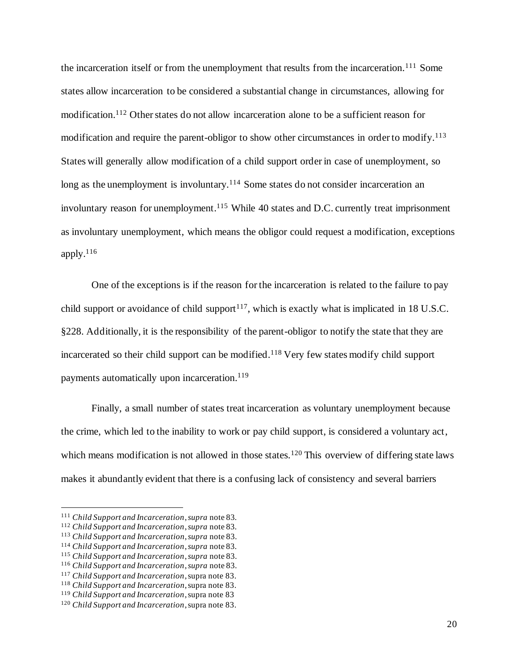the incarceration itself or from the unemployment that results from the incarceration.<sup>111</sup> Some states allow incarceration to be considered a substantial change in circumstances, allowing for modification. <sup>112</sup> Other states do not allow incarceration alone to be a sufficient reason for modification and require the parent-obligor to show other circumstances in order to modify.<sup>113</sup> States will generally allow modification of a child support order in case of unemployment, so long as the unemployment is involuntary.<sup>114</sup> Some states do not consider incarceration an involuntary reason for unemployment.<sup>115</sup> While 40 states and D.C. currently treat imprisonment as involuntary unemployment, which means the obligor could request a modification, exceptions apply. $116$ 

One of the exceptions is if the reason for the incarceration is related to the failure to pay child support or avoidance of child support<sup>117</sup>, which is exactly what is implicated in 18 U.S.C. §228. Additionally, it is the responsibility of the parent-obligor to notify the state that they are incarcerated so their child support can be modified.<sup>118</sup> Very few states modify child support payments automatically upon incarceration.<sup>119</sup>

Finally, a small number of states treat incarceration as voluntary unemployment because the crime, which led to the inability to work or pay child support, is considered a voluntary act, which means modification is not allowed in those states.<sup>120</sup> This overview of differing state laws makes it abundantly evident that there is a confusing lack of consistency and several barriers

<sup>111</sup> *Child Support and Incarceration*,*supra* note 83*.*

<sup>112</sup> *Child Support and Incarceration*, *supra* note 83*.*

<sup>113</sup> *Child Support and Incarceration*, *supra* note 83.

<sup>114</sup> *Child Support and Incarceration*, *supra* note 83*.*

<sup>115</sup> *Child Support and Incarceration*, *supra* note 83.

<sup>116</sup> *Child Support and Incarceration*,*supra* note 83.

<sup>117</sup> *Child Support and Incarceration*, supra note 83.

<sup>118</sup> *Child Support and Incarceration*, supra note 83.

<sup>119</sup> *Child Support and Incarceration*, supra note 83

<sup>120</sup> *Child Support and Incarceration*, supra note 83.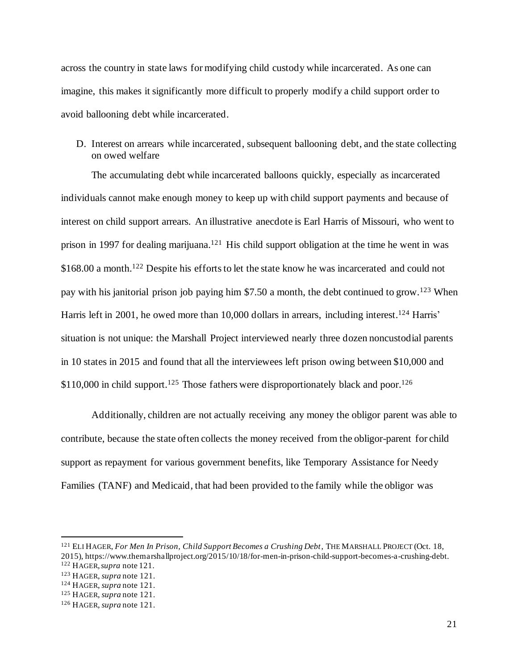across the country in state laws for modifying child custody while incarcerated. As one can imagine, this makes it significantly more difficult to properly modify a child support order to avoid ballooning debt while incarcerated.

D. Interest on arrears while incarcerated, subsequent ballooning debt, and the state collecting on owed welfare

The accumulating debt while incarcerated balloons quickly, especially as incarcerated individuals cannot make enough money to keep up with child support payments and because of interest on child support arrears. An illustrative anecdote is Earl Harris of Missouri, who went to prison in 1997 for dealing marijuana.<sup>121</sup> His child support obligation at the time he went in was \$168.00 a month.<sup>122</sup> Despite his efforts to let the state know he was incarcerated and could not pay with his janitorial prison job paying him \$7.50 a month, the debt continued to grow.<sup>123</sup> When Harris left in 2001, he owed more than 10,000 dollars in arrears, including interest.<sup>124</sup> Harris' situation is not unique: the Marshall Project interviewed nearly three dozen noncustodial parents in 10 states in 2015 and found that all the interviewees left prison owing between \$10,000 and  $$110,000$  in child support.<sup>125</sup> Those fathers were disproportionately black and poor.<sup>126</sup>

Additionally, children are not actually receiving any money the obligor parent was able to contribute, because the state often collects the money received from the obligor-parent for child support as repayment for various government benefits, like Temporary Assistance for Needy Families (TANF) and Medicaid, that had been provided to the family while the obligor was

<sup>121</sup> ELI HAGER, *For Men In Prison, Child Support Becomes a Crushing Debt*, THE MARSHALL PROJECT (Oct. 18, 2015), https://www.themarshallproject.org/2015/10/18/for-men-in-prison-child-support-becomes-a-crushing-debt.

<sup>122</sup> HAGER, *supra* note 121.

<sup>123</sup> HAGER, *supra* note 121.

<sup>124</sup> HAGER, *supra* note 121.

<sup>125</sup> HAGER, *supra* note 121.

<sup>126</sup> HAGER, *supra* note 121.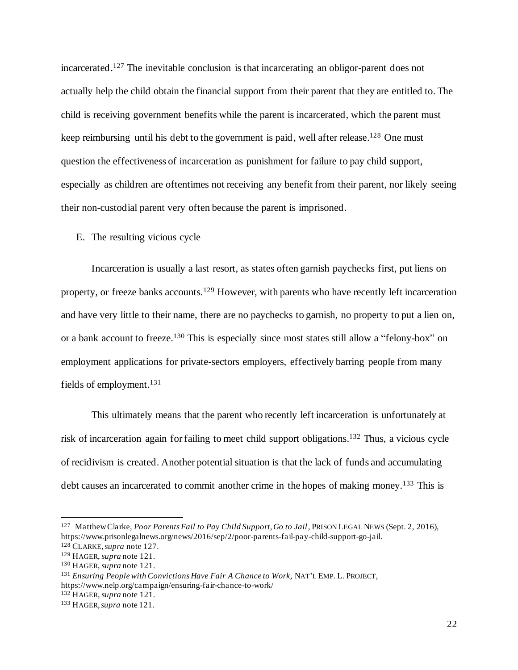incarcerated. <sup>127</sup> The inevitable conclusion is that incarcerating an obligor-parent does not actually help the child obtain the financial support from their parent that they are entitled to. The child is receiving government benefits while the parent is incarcerated, which the parent must keep reimbursing until his debt to the government is paid, well after release.<sup>128</sup> One must question the effectiveness of incarceration as punishment for failure to pay child support, especially as children are oftentimes not receiving any benefit from their parent, nor likely seeing their non-custodial parent very often because the parent is imprisoned.

### E. The resulting vicious cycle

Incarceration is usually a last resort, as states often garnish paychecks first, put liens on property, or freeze banks accounts.<sup>129</sup> However, with parents who have recently left incarceration and have very little to their name, there are no paychecks to garnish, no property to put a lien on, or a bank account to freeze.<sup>130</sup> This is especially since most states still allow a "felony-box" on employment applications for private-sectors employers, effectively barring people from many fields of employment.<sup>131</sup>

This ultimately means that the parent who recently left incarceration is unfortunately at risk of incarceration again for failing to meet child support obligations. <sup>132</sup> Thus, a vicious cycle of recidivism is created. Another potential situation is that the lack of funds and accumulating debt causes an incarcerated to commit another crime in the hopes of making money.<sup>133</sup> This is

<sup>132</sup> HAGER, *supra* note 121.

<sup>127</sup> Matthew Clarke, *Poor Parents Fail to Pay Child Support, Go to Jail*, PRISON LEGAL NEWS (Sept. 2, 2016), https://www.prisonlegalnews.org/news/2016/sep/2/poor-parents-fail-pay-child-support-go-jail.

<sup>128</sup> CLARKE, *supra* note 127.

<sup>129</sup> HAGER, *supra* note 121.

<sup>130</sup> HAGER, *supra* note 121.

<sup>131</sup> *Ensuring People with Convictions Have Fair A Chance to Work*, NAT'L EMP. L. PROJECT, https://www.nelp.org/campaign/ensuring-fair-chance-to-work/

<sup>133</sup> HAGER,*supra* note 121.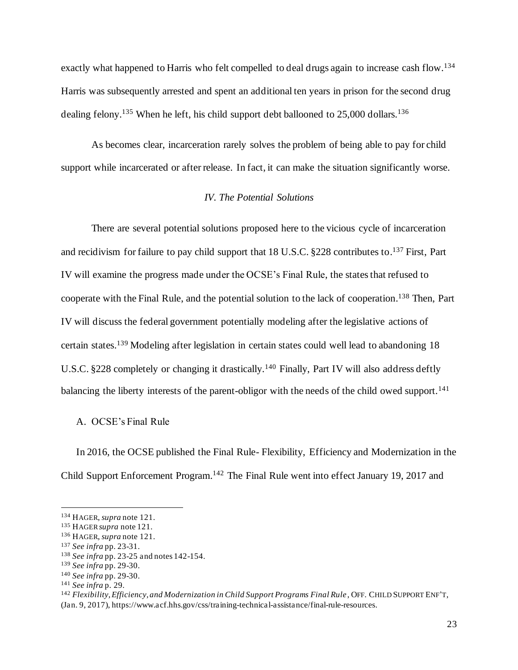exactly what happened to Harris who felt compelled to deal drugs again to increase cash flow.<sup>134</sup> Harris was subsequently arrested and spent an additional ten years in prison for the second drug dealing felony.<sup>135</sup> When he left, his child support debt ballooned to 25,000 dollars.<sup>136</sup>

As becomes clear, incarceration rarely solves the problem of being able to pay for child support while incarcerated or after release. In fact, it can make the situation significantly worse.

## *IV. The Potential Solutions*

There are several potential solutions proposed here to the vicious cycle of incarceration and recidivism for failure to pay child support that 18 U.S.C. §228 contributes to.<sup>137</sup> First, Part IV will examine the progress made under the OCSE's Final Rule, the states that refused to cooperate with the Final Rule, and the potential solution to the lack of cooperation. <sup>138</sup> Then, Part IV will discuss the federal government potentially modeling after the legislative actions of certain states.<sup>139</sup> Modeling after legislation in certain states could well lead to abandoning 18 U.S.C. §228 completely or changing it drastically.<sup>140</sup> Finally, Part IV will also address deftly balancing the liberty interests of the parent-obligor with the needs of the child owed support.<sup>141</sup>

A. OCSE's Final Rule

In 2016, the OCSE published the Final Rule- Flexibility, Efficiency and Modernization in the Child Support Enforcement Program.<sup>142</sup> The Final Rule went into effect January 19, 2017 and

<sup>142</sup> *Flexibility, Efficiency, and Modernization in Child Support Programs Final Rule* , OFF. CHILD SUPPORT ENF'T,

(Jan. 9, 2017), https://www.acf.hhs.gov/css/training-technical-assistance/final-rule-resources.

<sup>134</sup> HAGER, *supra* note 121.

<sup>135</sup> HAGER*supra* note 121.

<sup>136</sup> HAGER, *supra* note 121.

<sup>137</sup> *See infra* pp. 23-31.

<sup>138</sup> *See infra* pp. 23-25 and notes 142-154.

<sup>139</sup> *See infra* pp. 29-30.

<sup>140</sup> *See infra* pp. 29-30.

<sup>141</sup> *See infra* p. 29.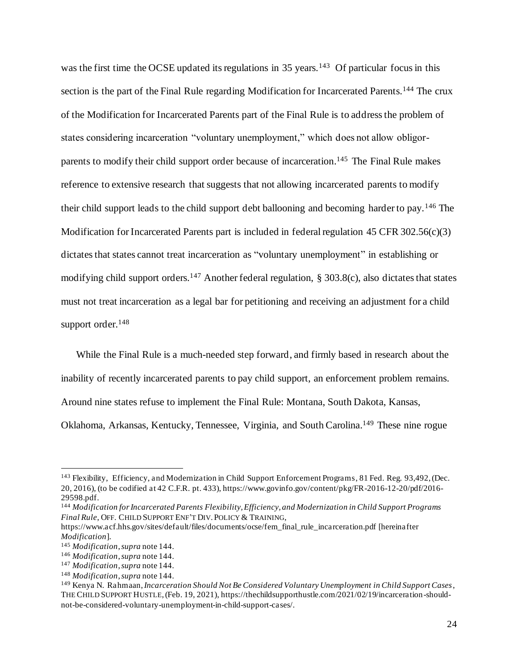was the first time the OCSE updated its regulations in  $35$  years.<sup>143</sup> Of particular focus in this section is the part of the Final Rule regarding Modification for Incarcerated Parents.<sup>144</sup> The crux of the Modification for Incarcerated Parents part of the Final Rule is to address the problem of states considering incarceration "voluntary unemployment," which does not allow obligorparents to modify their child support order because of incarceration.<sup>145</sup> The Final Rule makes reference to extensive research that suggests that not allowing incarcerated parents to modify their child support leads to the child support debt ballooning and becoming harder to pay.<sup>146</sup> The Modification for Incarcerated Parents part is included in federal regulation 45 CFR 302.56(c)(3) dictates that states cannot treat incarceration as "voluntary unemployment" in establishing or modifying child support orders.<sup>147</sup> Another federal regulation, § 303.8(c), also dictates that states must not treat incarceration as a legal bar for petitioning and receiving an adjustment for a child support order.<sup>148</sup>

While the Final Rule is a much-needed step forward, and firmly based in research about the inability of recently incarcerated parents to pay child support, an enforcement problem remains. Around nine states refuse to implement the Final Rule: Montana, South Dakota, Kansas, Oklahoma, Arkansas, Kentucky, Tennessee, Virginia, and South Carolina.<sup>149</sup> These nine rogue

<sup>143</sup> Flexibility, Efficiency, and Modernization in Child Support Enforcement Programs, 81 Fed. Reg. 93,492, (Dec. 20, 2016), (to be codified at 42 C.F.R. pt. 433), https://www.govinfo.gov/content/pkg/FR-2016-12-20/pdf/2016- 29598.pdf.

<sup>144</sup> *Modification for Incarcerated Parents Flexibility, Efficiency, and Modernization in Child Support Programs Final Rule*, OFF. CHILD SUPPORT ENF'T DIV.POLICY & TRAINING,

https://www.acf.hhs.gov/sites/default/files/documents/ocse/fem\_final\_rule\_incarceration.pdf [hereinafter *Modification*].

<sup>145</sup> *Modification*,*supra* note 144.

<sup>146</sup> *Modification*,*supra* note 144.

<sup>147</sup> *Modification*, *supra* note 144.

<sup>148</sup> *Modification*, *supra* note 144.

<sup>149</sup> Kenya N. Rahmaan, *Incarceration Should Not Be Considered Voluntary Unemployment in Child Support Cases*, THE CHILD SUPPORT HUSTLE,(Feb. 19, 2021), https://thechildsupporthustle.com/2021/02/19/incarceration-shouldnot-be-considered-voluntary-unemployment-in-child-support-cases/.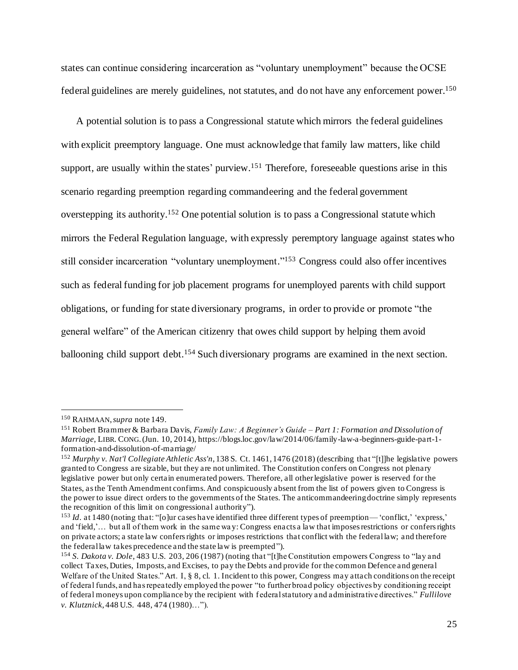states can continue considering incarceration as "voluntary unemployment" because the OCSE federal guidelines are merely guidelines, not statutes, and do not have any enforcement power.<sup>150</sup>

A potential solution is to pass a Congressional statute which mirrors the federal guidelines with explicit preemptory language. One must acknowledge that family law matters, like child support, are usually within the states' purview.<sup>151</sup> Therefore, foreseeable questions arise in this scenario regarding preemption regarding commandeering and the federal government overstepping its authority.<sup>152</sup> One potential solution is to pass a Congressional statute which mirrors the Federal Regulation language, with expressly peremptory language against states who still consider incarceration "voluntary unemployment."<sup>153</sup> Congress could also offer incentives such as federal funding for job placement programs for unemployed parents with child support obligations, or funding for state diversionary programs, in order to provide or promote "the general welfare" of the American citizenry that owes child support by helping them avoid ballooning child support debt.<sup>154</sup> Such diversionary programs are examined in the next section.

<sup>150</sup> RAHMAAN, *supra* note 149.

<sup>151</sup> Robert Brammer & Barbara Davis, *Family Law: A Beginner's Guide – Part 1: Formation and Dissolution of Marriage*, LIBR. CONG.(Jun. 10, 2014), https://blogs.loc.gov/law/2014/06/family-law-a-beginners-guide-part-1 formation-and-dissolution-of-marriage/

<sup>152</sup> *Murphy v. Nat'l Collegiate Athletic Ass'n*, 138 S. Ct. 1461, 1476 (2018) (describing that "[t]]he legislative powers granted to Congress are sizable, but they are not unlimited. The Constitution confers on Congress not plenary legislative power but only certain enumerated powers. Therefore, all other legislative power is reserved for the States, as the Tenth Amendment confirms. And conspicuously absent from the list of powers given to Congress is the power to issue direct orders to the governments of the States. The anticommandeering doctrine simply represents the recognition of this limit on congressional authority").

<sup>&</sup>lt;sup>153</sup> *Id.* at 1480 (noting that: "[o]ur cases have identified three different types of preemption—'conflict,' 'express,' and 'field,'... but all of them work in the same way: Congress enacts a law that imposes restrictions or confers rights on private actors; a state law confers rights or imposes restrictions that conflict with the federal law; and therefore the federal law takes precedence and the state law is preempted").

<sup>154</sup> *S. Dakota v. Dole*, 483 U.S. 203, 206 (1987) (noting that "[t]he Constitution empowers Congress to "lay and collect Taxes, Duties, Imposts, and Excises, to pay the Debts and provide for the common Defence and general Welfare of the United States." Art. I, § 8, cl. 1. Incident to this power, Congress may attach conditions on the receipt of federal funds, and has repeatedly employed the power "to further broad policy objectives by conditioning receipt of federal moneys upon compliance by the recipient with f ederal statutory and administrative directives." *Fullilove v. Klutznick*, 448 U.S. 448, 474 (1980)…").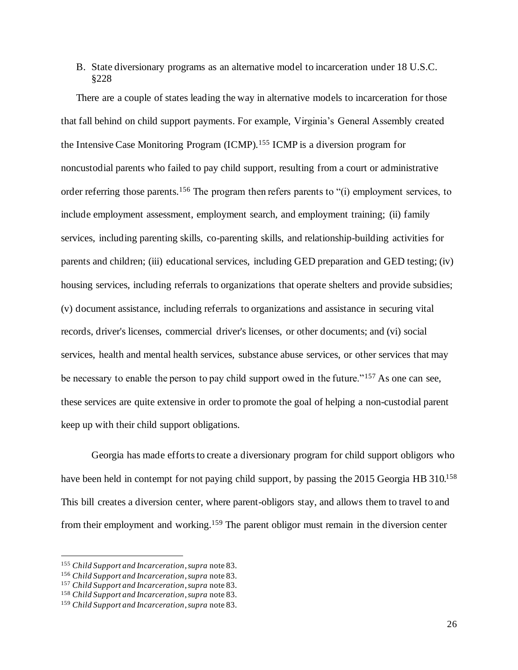### B. State diversionary programs as an alternative model to incarceration under 18 U.S.C. §228

There are a couple of states leading the way in alternative models to incarceration for those that fall behind on child support payments. For example, Virginia's General Assembly created the Intensive Case Monitoring Program (ICMP).<sup>155</sup> ICMP is a diversion program for noncustodial parents who failed to pay child support, resulting from a court or administrative order referring those parents.<sup>156</sup> The program then refers parents to "(i) employment services, to include employment assessment, employment search, and employment training; (ii) family services, including parenting skills, co-parenting skills, and relationship-building activities for parents and children; (iii) educational services, including GED preparation and GED testing; (iv) housing services, including referrals to organizations that operate shelters and provide subsidies; (v) document assistance, including referrals to organizations and assistance in securing vital records, driver's licenses, commercial driver's licenses, or other documents; and (vi) social services, health and mental health services, substance abuse services, or other services that may be necessary to enable the person to pay child support owed in the future."<sup>157</sup> As one can see, these services are quite extensive in order to promote the goal of helping a non-custodial parent keep up with their child support obligations.

Georgia has made efforts to create a diversionary program for child support obligors who have been held in contempt for not paying child support, by passing the 2015 Georgia HB 310.<sup>158</sup> This bill creates a diversion center, where parent-obligors stay, and allows them to travel to and from their employment and working.<sup>159</sup> The parent obligor must remain in the diversion center

<sup>155</sup> *Child Support and Incarceration*, *supra* note 83.

<sup>156</sup> *Child Support and Incarceration*,*supra* note 83.

<sup>157</sup> *Child Support and Incarceration*, *supra* note 83.

<sup>158</sup> *Child Support and Incarceration*, *supra* note 83.

<sup>159</sup> *Child Support and Incarceration*, *supra* note 83.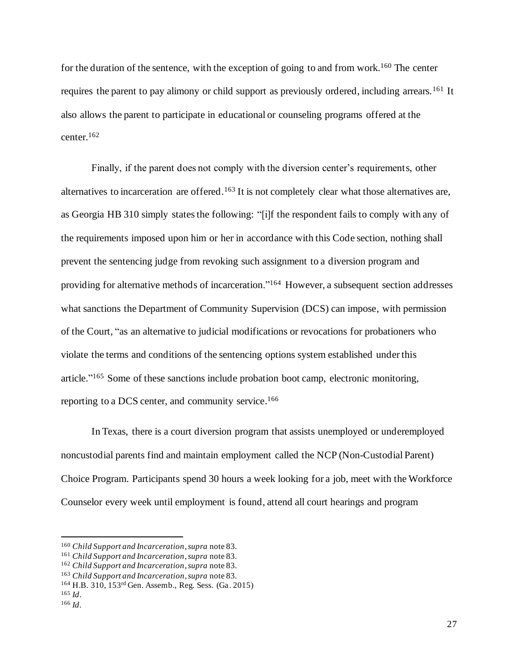for the duration of the sentence, with the exception of going to and from work.<sup>160</sup> The center requires the parent to pay alimony or child support as previously ordered, including arrears.<sup>161</sup> It also allows the parent to participate in educational or counseling programs offered at the center.<sup>162</sup>

Finally, if the parent does not comply with the diversion center's requirements, other alternatives to incarceration are offered.<sup>163</sup> It is not completely clear what those alternatives are, as Georgia HB 310 simply states the following: "[i]f the respondent fails to comply with any of the requirements imposed upon him or her in accordance with this Code section, nothing shall prevent the sentencing judge from revoking such assignment to a diversion program and providing for alternative methods of incarceration."<sup>164</sup> However, a subsequent section addresses what sanctions the Department of Community Supervision (DCS) can impose, with permission of the Court, "as an alternative to judicial modifications or revocations for probationers who violate the terms and conditions of the sentencing options system established under this article."<sup>165</sup> Some of these sanctions include probation boot camp, electronic monitoring, reporting to a DCS center, and community service. 166

In Texas, there is a court diversion program that assists unemployed or underemployed noncustodial parents find and maintain employment called the NCP (Non-Custodial Parent) Choice Program. Participants spend 30 hours a week looking for a job, meet with the Workforce Counselor every week until employment is found, attend all court hearings and program

<sup>160</sup> *Child Support and Incarceration*, *supra* note 83.

<sup>161</sup> *Child Support and Incarceration*, *supra* note 83.

<sup>162</sup> *Child Support and Incarceration*, *supra* note 83.

<sup>163</sup> *Child Support and Incarceration*, *supra* note 83.

<sup>164</sup> H.B. 310, 153rd Gen. Assemb., Reg. Sess. (Ga. 2015)

<sup>165</sup> *Id*.

<sup>166</sup> *Id*.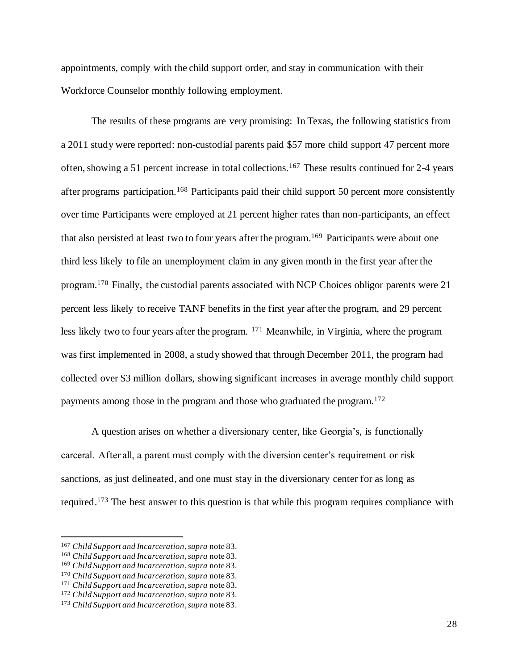appointments, comply with the child support order, and stay in communication with their Workforce Counselor monthly following employment.

The results of these programs are very promising: In Texas, the following statistics from a 2011 study were reported: non-custodial parents paid \$57 more child support 47 percent more often, showing a 51 percent increase in total collections.<sup>167</sup> These results continued for 2-4 years after programs participation.<sup>168</sup> Participants paid their child support 50 percent more consistently over time Participants were employed at 21 percent higher rates than non-participants, an effect that also persisted at least two to four years after the program. <sup>169</sup> Participants were about one third less likely to file an unemployment claim in any given month in the first year after the program.<sup>170</sup> Finally, the custodial parents associated with NCP Choices obligor parents were 21 percent less likely to receive TANF benefits in the first year after the program, and 29 percent less likely two to four years after the program. <sup>171</sup> Meanwhile, in Virginia, where the program was first implemented in 2008, a study showed that through December 2011, the program had collected over \$3 million dollars, showing significant increases in average monthly child support payments among those in the program and those who graduated the program.<sup>172</sup>

A question arises on whether a diversionary center, like Georgia's, is functionally carceral. After all, a parent must comply with the diversion center's requirement or risk sanctions, as just delineated, and one must stay in the diversionary center for as long as required.<sup>173</sup> The best answer to this question is that while this program requires compliance with

<sup>167</sup> *Child Support and Incarceration*, *supra* note 83.

<sup>168</sup> *Child Support and Incarceration*, *supra* note 83.

<sup>169</sup> *Child Support and Incarceration*, *supra* note 83.

<sup>170</sup> *Child Support and Incarceration*, *supra* note 83.

<sup>171</sup> *Child Support and Incarceration*, *supra* note 83.

<sup>172</sup> *Child Support and Incarceration*, *supra* note 83.

<sup>173</sup> *Child Support and Incarceration*,*supra* note 83.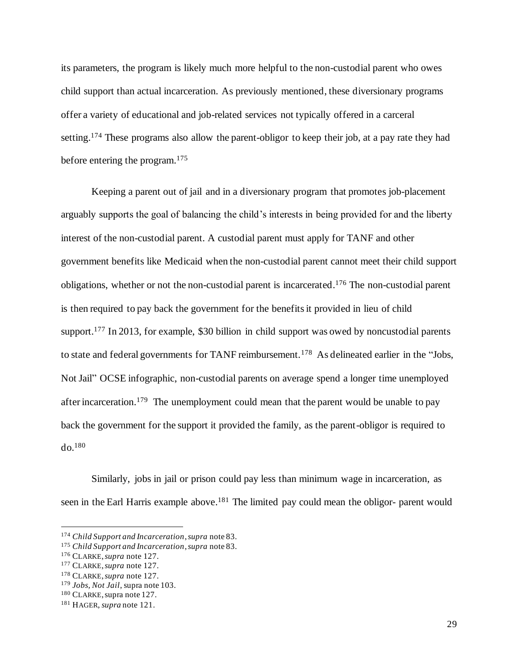its parameters, the program is likely much more helpful to the non-custodial parent who owes child support than actual incarceration. As previously mentioned, these diversionary programs offer a variety of educational and job-related services not typically offered in a carceral setting.<sup>174</sup> These programs also allow the parent-obligor to keep their job, at a pay rate they had before entering the program.<sup>175</sup>

Keeping a parent out of jail and in a diversionary program that promotes job-placement arguably supports the goal of balancing the child's interests in being provided for and the liberty interest of the non-custodial parent. A custodial parent must apply for TANF and other government benefits like Medicaid when the non-custodial parent cannot meet their child support obligations, whether or not the non-custodial parent is incarcerated. <sup>176</sup> The non-custodial parent is then required to pay back the government for the benefits it provided in lieu of child support.<sup>177</sup> In 2013, for example, \$30 billion in child support was owed by noncustodial parents to state and federal governments for TANF reimbursement.<sup>178</sup> As delineated earlier in the "Jobs, Not Jail" OCSE infographic, non-custodial parents on average spend a longer time unemployed after incarceration.<sup>179</sup> The unemployment could mean that the parent would be unable to pay back the government for the support it provided the family, as the parent-obligor is required to do.<sup>180</sup>

Similarly, jobs in jail or prison could pay less than minimum wage in incarceration, as seen in the Earl Harris example above.<sup>181</sup> The limited pay could mean the obligor-parent would

<sup>174</sup> *Child Support and Incarceration*,*supra* note 83.

<sup>175</sup> *Child Support and Incarceration*, *supra* note 83.

<sup>176</sup> CLARKE,*supra* note 127.

<sup>177</sup> CLARKE, *supra* note 127.

<sup>178</sup> CLARKE, *supra* note 127.

<sup>179</sup> *Jobs, Not Jail*, supra note 103.

<sup>180</sup> CLARKE, supra note 127.

<sup>181</sup> HAGER, *supra* note 121.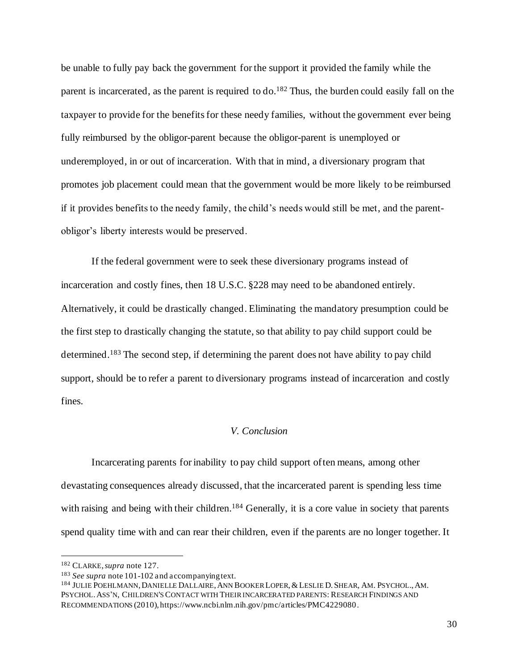be unable to fully pay back the government for the support it provided the family while the parent is incarcerated, as the parent is required to do.<sup>182</sup> Thus, the burden could easily fall on the taxpayer to provide for the benefits for these needy families, without the government ever being fully reimbursed by the obligor-parent because the obligor-parent is unemployed or underemployed, in or out of incarceration. With that in mind, a diversionary program that promotes job placement could mean that the government would be more likely to be reimbursed if it provides benefits to the needy family, the child's needs would still be met, and the parentobligor's liberty interests would be preserved.

If the federal government were to seek these diversionary programs instead of incarceration and costly fines, then 18 U.S.C. §228 may need to be abandoned entirely. Alternatively, it could be drastically changed. Eliminating the mandatory presumption could be the first step to drastically changing the statute, so that ability to pay child support could be determined.<sup>183</sup> The second step, if determining the parent does not have ability to pay child support, should be to refer a parent to diversionary programs instead of incarceration and costly fines.

#### *V. Conclusion*

Incarcerating parents for inability to pay child support often means, among other devastating consequences already discussed, that the incarcerated parent is spending less time with raising and being with their children.<sup>184</sup> Generally, it is a core value in society that parents spend quality time with and can rear their children, even if the parents are no longer together. It

<sup>182</sup> CLARKE,*supra* note 127.

<sup>183</sup> *See supra* note 101-102 and accompanying text.

<sup>184</sup> JULIE POEHLMANN, DANIELLE DALLAIRE, ANN BOOKER LOPER, & LESLIE D. SHEAR, AM. PSYCHOL., AM. PSYCHOL.ASS'N, CHILDREN'S CONTACT WITH THEIR INCARCERATED PARENTS: RESEARCH FINDINGS AND RECOMMENDATIONS (2010), https://www.ncbi.nlm.nih.gov/pmc/articles/PMC4229080.